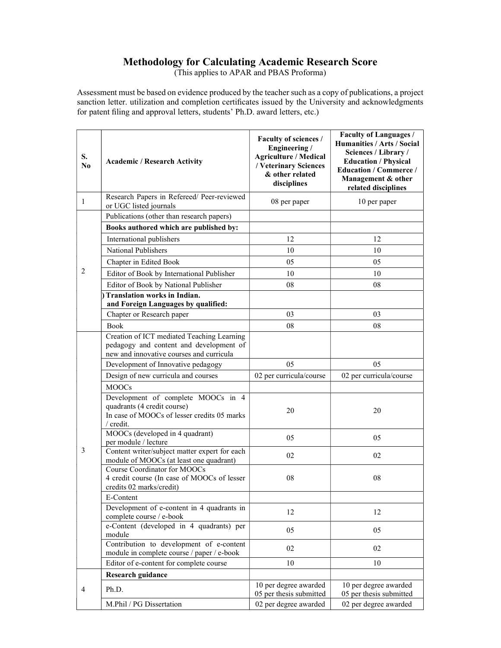## Methodology for Calculating Academic Research Score

(This applies to APAR and PBAS Proforma)

Assessment must be based on evidence produced by the teacher such as a copy of publications, a project sanction letter. utilization and completion certificates issued by the University and acknowledgments for patent filing and approval letters, students' Ph.D. award letters, etc.)

| S.<br>N <sub>0</sub> | <b>Academic / Research Activity</b>                                                                                               | Faculty of sciences /<br>Engineering /<br><b>Agriculture / Medical</b><br>/ Veterinary Sciences<br>& other related<br>disciplines | <b>Faculty of Languages /</b><br>Humanities / Arts / Social<br>Sciences / Library /<br><b>Education / Physical</b><br><b>Education / Commerce /</b><br>Management & other<br>related disciplines |  |
|----------------------|-----------------------------------------------------------------------------------------------------------------------------------|-----------------------------------------------------------------------------------------------------------------------------------|--------------------------------------------------------------------------------------------------------------------------------------------------------------------------------------------------|--|
| 1                    | Research Papers in Refereed/ Peer-reviewed<br>or UGC listed journals                                                              | 08 per paper                                                                                                                      | 10 per paper                                                                                                                                                                                     |  |
|                      | Publications (other than research papers)                                                                                         |                                                                                                                                   |                                                                                                                                                                                                  |  |
|                      | Books authored which are published by:                                                                                            |                                                                                                                                   |                                                                                                                                                                                                  |  |
|                      | International publishers                                                                                                          | 12                                                                                                                                | 12                                                                                                                                                                                               |  |
|                      | National Publishers                                                                                                               | 10                                                                                                                                | 10                                                                                                                                                                                               |  |
|                      | Chapter in Edited Book                                                                                                            | 05                                                                                                                                | 05                                                                                                                                                                                               |  |
| 2                    | Editor of Book by International Publisher                                                                                         | 10                                                                                                                                | 10                                                                                                                                                                                               |  |
|                      | Editor of Book by National Publisher                                                                                              | 08                                                                                                                                | 08                                                                                                                                                                                               |  |
|                      | Translation works in Indian.<br>and Foreign Languages by qualified:                                                               |                                                                                                                                   |                                                                                                                                                                                                  |  |
|                      | Chapter or Research paper                                                                                                         | 03                                                                                                                                | 03                                                                                                                                                                                               |  |
|                      | <b>Book</b>                                                                                                                       | 08                                                                                                                                | 08                                                                                                                                                                                               |  |
|                      | Creation of ICT mediated Teaching Learning<br>pedagogy and content and development of<br>new and innovative courses and curricula |                                                                                                                                   |                                                                                                                                                                                                  |  |
|                      | Development of Innovative pedagogy                                                                                                | 05                                                                                                                                | 05                                                                                                                                                                                               |  |
|                      | Design of new curricula and courses                                                                                               | 02 per curricula/course                                                                                                           | 02 per curricula/course                                                                                                                                                                          |  |
|                      | <b>MOOCs</b>                                                                                                                      |                                                                                                                                   |                                                                                                                                                                                                  |  |
|                      | Development of complete MOOCs in 4<br>quadrants (4 credit course)<br>In case of MOOCs of lesser credits 05 marks<br>/ credit.     | 20                                                                                                                                | 20                                                                                                                                                                                               |  |
|                      | MOOCs (developed in 4 quadrant)<br>per module / lecture                                                                           | 05                                                                                                                                | 05                                                                                                                                                                                               |  |
| 3                    | Content writer/subject matter expert for each<br>module of MOOCs (at least one quadrant)                                          | 02                                                                                                                                | 02                                                                                                                                                                                               |  |
|                      | Course Coordinator for MOOCs<br>4 credit course (In case of MOOCs of lesser<br>credits 02 marks/credit)                           | 08                                                                                                                                | 08                                                                                                                                                                                               |  |
|                      | E-Content                                                                                                                         |                                                                                                                                   |                                                                                                                                                                                                  |  |
|                      | Development of e-content in 4 quadrants in<br>complete course / e-book                                                            | 12                                                                                                                                | 12                                                                                                                                                                                               |  |
|                      | e-Content (developed in 4 quadrants) per<br>module                                                                                | 05                                                                                                                                | 05                                                                                                                                                                                               |  |
|                      | Contribution to development of e-content<br>module in complete course / paper / e-book                                            | 02                                                                                                                                | 02                                                                                                                                                                                               |  |
|                      | Editor of e-content for complete course                                                                                           | 10                                                                                                                                | 10                                                                                                                                                                                               |  |
|                      | <b>Research guidance</b>                                                                                                          |                                                                                                                                   |                                                                                                                                                                                                  |  |
| $\overline{4}$       | Ph.D.                                                                                                                             | 10 per degree awarded<br>05 per thesis submitted                                                                                  | 10 per degree awarded<br>05 per thesis submitted                                                                                                                                                 |  |
|                      | M.Phil / PG Dissertation                                                                                                          | 02 per degree awarded                                                                                                             | 02 per degree awarded                                                                                                                                                                            |  |